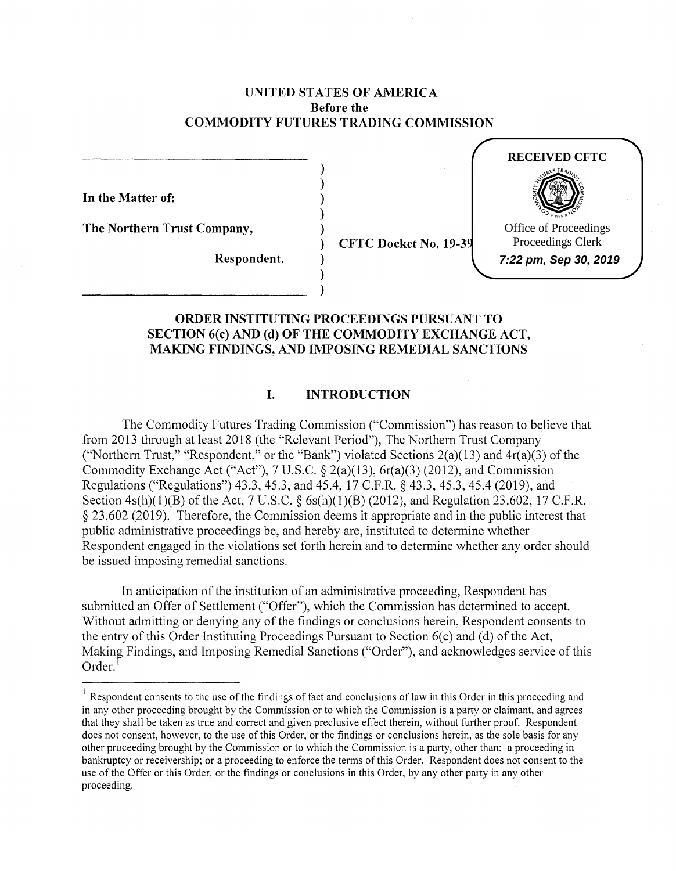# **UNITED STATES OF AMERICA Before the COMMODITY FUTURES TRADING COMMISSION**

) ) ) ) )

) ) )

**In the Matter of:** 

**The Northern Trust Company,** 

) **CFTC Docket No. 19-39** 



**Respondent.** 

# **ORDER INSTITUTING PROCEEDINGS PURSUANT TO SECTION 6(c) AND (d) OF THE COMMODITY EXCHANGE ACT, MAKING FINDINGS, AND IMPOSING REMEDIAL SANCTIONS**

# **I. INTRODUCTION**

The Commodity Futures Trading Commission ("Commission") has reason to believe that from 2013 through at least 2018 (the "Relevant Period"), The Northern Trust Company ("Northern Trust," "Respondent," or the "Bank") violated Sections  $2(a)(13)$  and  $4r(a)(3)$  of the Commodity Exchange Act ("Act"), 7 U.S.C.  $\frac{2(a)(13)}{6r(a)(3)}$  (2012), and Commission Regulations ("Regulations") 43.3, 45.3, and 45.4, 17 C.F.R. § 43.3, 45.3, 45.4 (2019), and Section 4s(h)(1)(B) of the Act, 7 U.S.C. § 6s(h)(1)(B) (2012), and Regulation 23.602, 17 C.F.R. § 23 .602 (2019). Therefore, the Commission deems it appropriate and in the public interest that public administrative proceedings be, and hereby are, instituted to determine whether Respondent engaged in the violations set forth herein and to detennine whether any order should be issued imposing remedial sanctions.

In anticipation of the institution of an administrative proceeding, Respondent has submitted an Offer of Settlement ("Offer"), which the Commission has determined to accept. Without admitting or denying any of the findings or conclusions herein, Respondent consents to the entry of this Order Instituting Proceedings Pursuant to Section  $6(c)$  and (d) of the Act, Making Findings, and Imposing Remedial Sanctions ("Order"), and acknowledges service of this  $Order.<sup>1</sup>$ 

<sup>&</sup>lt;sup>1</sup> Respondent consents to the use of the findings of fact and conclusions of law in this Order in this proceeding and in any other proceeding brought by the Commission or to which the Commission is a party or claimant, and agrees that they shall be taken as true and correct and given preclusive effect therein, without further proof. Respondent does not consent, however, to the use of this Order, or the findings or conclusions herein, as the sole basis for any other proceeding brought by the Commission or to which the Commission is a party, other than: a proceeding in bankruptcy or receivership; or a proceeding to enforce the terms of this Order. Respondent does not consent to the use of the Offer or this Order, or the findings or conclusions in this Order, by any other party in any other proceeding.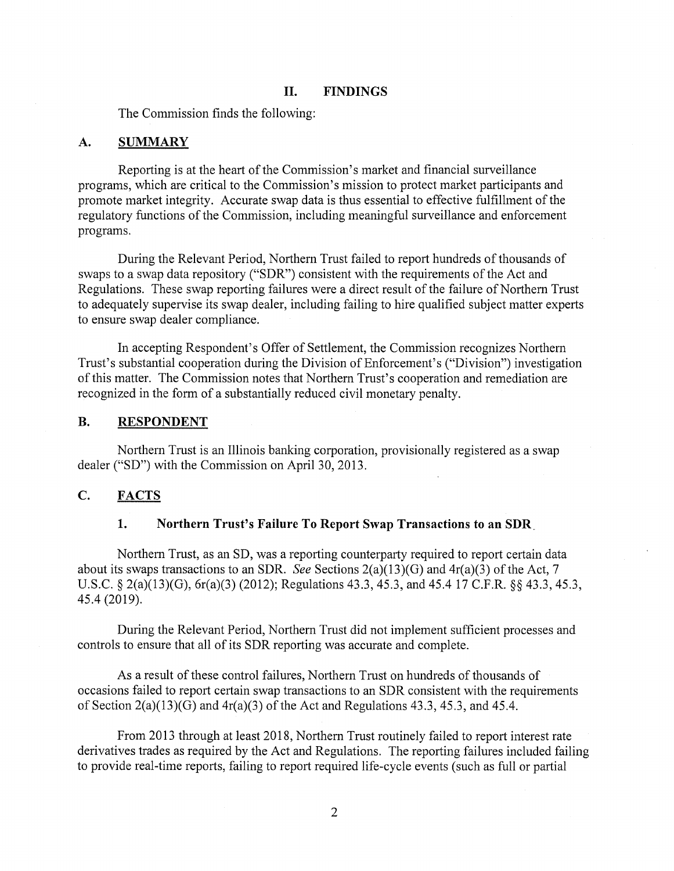### **II. FINDINGS**

The Commission finds the following:

#### **A. SUMMARY**

Reporting is at the heart of the Commission's market and financial surveillance programs, which are critical to the Commission's mission to protect market participants and promote market integrity. Accurate swap data is thus essential to effective fulfillment of the regulatory functions of the Commission, including meaningful surveillance and enforcement programs.

During the Relevant Period, Northern Trust failed to report hundreds of thousands of swaps to a swap data repository ("SDR") consistent with the requirements of the Act and Regulations. These swap reporting failures were a direct result of the failure of Northern Trust to adequately supervise its swap dealer, including failing to hire qualified subject matter experts to ensure swap dealer compliance.

In accepting Respondent's Offer of Settlement, the Commission recognizes Northern Trust's substantial cooperation during the Division of Enforcement's ("Division") investigation of this matter. The Commission notes that Northern Trust's cooperation and remediation are recognized in the form of a substantially reduced civil monetary penalty.

#### **B. RESPONDENT**

Northern Trust is an Illinois banking corporation, provisionally registered as a swap dealer ("SD") with the Commission on April 30, 2013.

## **C. FACTS**

#### **1. Northern Trust's Failure To Report Swap Transactions to an SDR.**

Northern Trust, as an SD, was a reporting counterparty required to report certain data about its swaps transactions to an SDR. *See* Sections 2(a)(13)(G) and 4r(a)(3) of the Act, 7 U.S.C. § 2(a)(13)(G), 6r(a)(3) (2012); Regulations 43.3, 45.3, and 45.4 17 C.F.R. §§ 43.3, 45.3, 45.4 (2019).

During the Relevant Period, Northern Trust did not implement sufficient processes and controls to ensure that all of its SDR reporting was accurate and complete.

As a result of these control failures, Northern Trust on hundreds of thousands of occasions failed to report certain swap transactions to an SDR consistent with the requirements of Section  $2(a)(13)(G)$  and  $4r(a)(3)$  of the Act and Regulations 43.3, 45.3, and 45.4.

From 2013 through at least 2018, Northern Trust routinely failed to report interest rate derivatives trades as required by the Act and Regulations. The reporting failures included failing to provide real-time reports, failing to report required life-cycle events (such as full or partial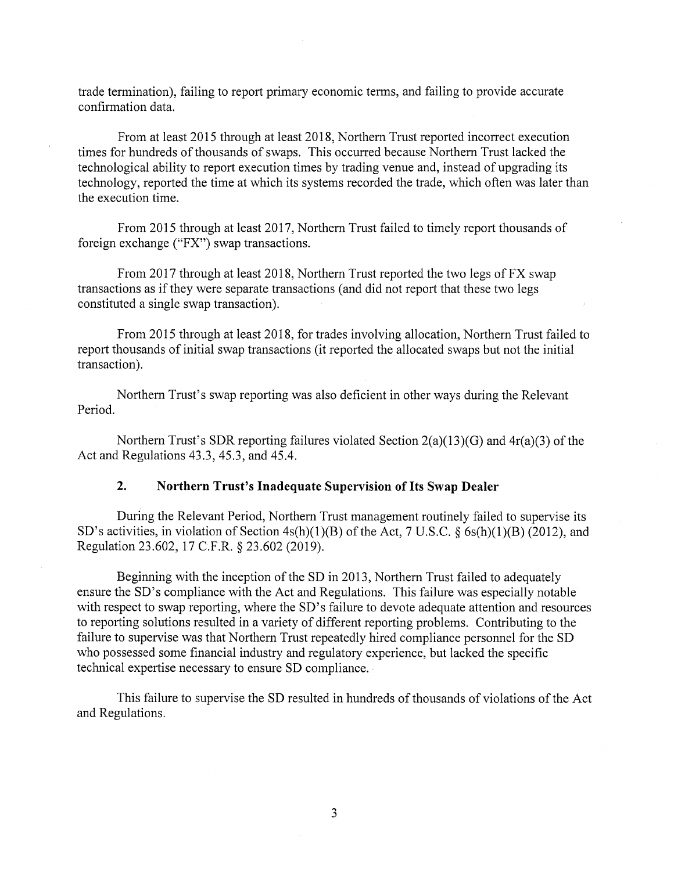trade termination), failing to report primary economic terms, and failing to provide accurate confirmation data.

From at least 2015 through at least 2018, Northern Trust reported incorrect execution times for hundreds of thousands of swaps. This occurred because Northern Trust lacked the technological ability to report execution times by trading venue and, instead of upgrading its technology, reported the time at which its systems recorded the trade, which often was later than the execution time.

From 2015 through at least 2017, Northern Trust failed to timely report thousands of foreign exchange ("FX") swap transactions.

From 2017 through at least 2018, Northern Trust reported the two legs of FX swap transactions as if they were separate transactions ( and did not report that these two legs constituted a single swap transaction).

From 2015 through at least 2018, for trades involving allocation, Northern Trust failed to report thousands of initial swap transactions (it reported the allocated swaps but not the initial transaction).

Northern Trust's swap reporting was also deficient in other ways during the Relevant Period.

Northern Trust's SDR reporting failures violated Section 2(a)(13)(G) and 4r(a)(3) of the Act and Regulations 43.3, 45.3, and 45.4.

## **2. Northern Trust's Inadequate Supervision of Its Swap Dealer**

During the Relevant Period, Northern Trust management routinely failed to supervise its SD's activities, in violation of Section  $4s(h)(1)(B)$  of the Act, 7 U.S.C. § 6s(h)(1)(B) (2012), and Regulation 23.602, 17 C.F.R. § 23.602 (2019).

Beginning with the inception of the SD in 2013, Northern Trust failed to adequately ensure the SD's compliance with the Act and Regulations. This failure was especially notable with respect to swap reporting, where the SD's failure to devote adequate attention and resources to reporting solutions resulted in a variety of different reporting problems. Contributing to the failure to supervise was that Northern Trust repeatedly hired compliance personnel for the SD who possessed some financial industry and regulatory experience, but lacked the specific technical expertise necessary to ensure SD compliance.

This failure to supervise the SD resulted in hundreds of thousands of violations of the Act and Regulations.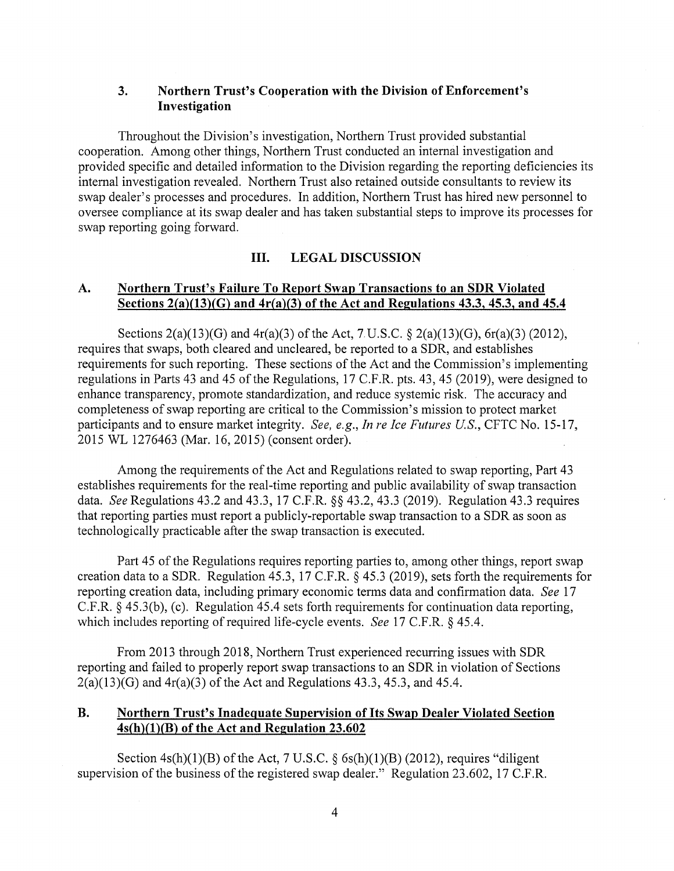# **3. Northern Trust's Cooperation with the Division of Enforcement's Investigation**

Throughout the Division's investigation, Northern Trust provided substantial cooperation. Among other things, Northern Trust conducted an internal investigation and provided specific and detailed information to the Division regarding the reporting deficiencies its internal investigation revealed. Northern Trust also retained outside consultants to review its swap dealer's processes and procedures. In addition, Northern Trust has hired new personnel to oversee compliance at its swap dealer and has taken substantial steps to improve its processes for swap reporting going forward.

## **III. LEGAL DISCUSSION**

# **A. Northern Trust's Failure To Report Swap Transactions to an SDR Violated Sections 2{a)(13){G) and 4r{a){3) of the Act and Regulations 43.3, 45.3, and 45.4**

Sections 2(a)(13)(G) and 4r(a)(3) of the Act, 7. U.S.C. § 2(a)(13)(G), 6r(a)(3) (2012), requires that swaps, both cleared and uncleared, be reported to a SDR, and establishes requirements for such reporting. These sections of the Act and the Commission's implementing regulations in Parts 43 and 45 of the Regulations, 17 C.F.R. pts. 43, 45 (2019), were designed to enhance transparency, promote standardization, and reduce systemic risk. The accuracy and completeness of swap reporting are critical to the Commission's mission to protect market participants and to ensure market integrity. *See, e.g., In re Ice Futures US.,* CFTC No. 15-17, 2015 WL 1276463 (Mar. 16, 2015) (consent order).

Among the requirements of the Act and Regulations related to swap reporting, Part 43 establishes requirements for the real-time reporting and public availability of swap transaction data. *See* Regulations 43.2 and 43.3, 17 C.F.R. §§ 43.2, 43.3 (2019). Regulation 43.3 requires that reporting parties must report a publicly-reportable swap transaction to a SDR as soon as technologically practicable after the swap transaction is executed.

Part 45 of the Regulations requires reporting parties to, among other things, report swap creation data to a SDR. Regulation 45.3, 17 C.F.R. § 45.3 (2019), sets forth the requirements for reporting creation data, including primary economic terms data and confirmation data. *See* 17 C.F.R. § 45.3(b), (c). Regulation 45.4 sets forth requirements for continuation data reporting, which includes reporting of required life-cycle events. *See* 17 C.F.R. § 45.4.

From 2013 through 2018, Northern Trust experienced recurring issues with SDR reporting and failed to properly report swap transactions to an SDR in violation of Sections  $2(a)(13)(G)$  and  $4r(a)(3)$  of the Act and Regulations 43.3, 45.3, and 45.4.

# **B. Northern Trust's Inadequate Supervision of Its Swap Dealer Violated Section 4s{h)(l){B) of the Act and Regulation 23.602**

Section  $4s(h)(1)(B)$  of the Act, 7 U.S.C. § 6s(h)(1)(B) (2012), requires "diligent supervision of the business of the registered swap dealer." Regulation 23.602, 17 C.F.R.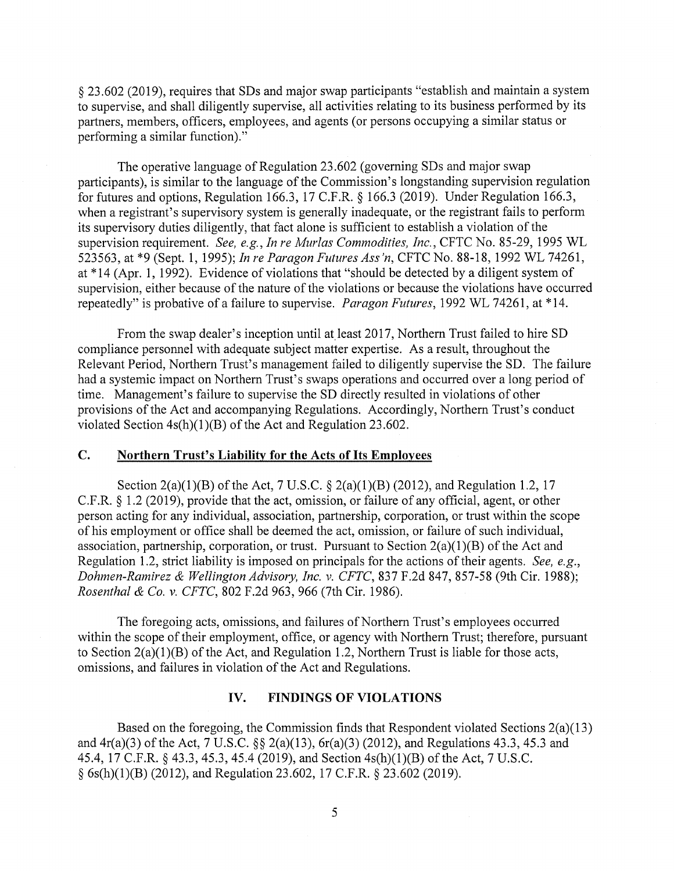§ 23 .602 (2019), requires that SDs and major swap participants "establish and maintain a system to supervise, and shall diligently supervise, all activities relating to its business performed by its partners, members, officers, employees, and agents ( or persons occupying a similar status or performing a similar function)."

The operative language of Regulation 23.602 (governing SDs and major swap participants), is similar to the language of the Commission's longstanding supervision regulation for futures and options, Regulation 166.3, 17 C.F.R. § 166.3 (2019). Under Regulation 166.3, when a registrant's supervisory system is generally inadequate, or the registrant fails to perform its supervisory duties diligently, that fact alone is sufficient to establish a violation of the supervision requirement. *See, e.g., In re Murlas Commodities, Inc.,* CFTC No. 85-29, 1995 WL 523563, at \*9 (Sept. 1, 1995); *In re Paragon Futures Ass 'n,* CFTC No. 88-18, 1992 WL 74261, at \* 14 (Apr. 1, 1992). Evidence of violations that "should be detected by a diligent system of supervision, either because of the nature of the violations or because the violations have occurred repeatedly" is probative of a failure to supervise. *Paragon Futures,* 1992 WL 74261, at \*14.

From the swap dealer's inception until at least 2017, Northern Trust failed to hire SD compliance personnel with adequate subject matter expertise. As a result, throughout the Relevant Period, Northern Trust's management failed to diligently supervise the SD. The failure had a systemic impact on Northern Trust's swaps operations and occurred over a long period of time. Management's failure to supervise the SD directly resulted in violations of other provisions of the Act and accompanying Regulations. Accordingly, Northern Trust's conduct violated Section 4s(h)(l)(B) of the Act and Regulation 23.602.

## **C. Northern Trust's Liability for the Acts of Its Employees**

Section 2(a)(1)(B) of the Act, 7 U.S.C. § 2(a)(1)(B) (2012), and Regulation 1.2, 17 C.F.R. § 1.2 (2019), provide that the act, omission, or failure of any official, agent, or other person acting for any individual, association, partnership, corporation, or trust within the scope of his employment or office shall be deemed the act, omission, or failure of such individual, association, partnership, corporation, or trust. Pursuant to Section  $2(a)(1)(B)$  of the Act and Regulation 1.2, strict liability is imposed on principals for the actions of their agents. *See, e.g., Dahmen-Ramirez & Wellington Advisory, Inc. v. CFTC,* 837 F.2d 847, 857-58 (9th Cir. 1988); *Rosenthal & Co. v. CFTC,* 802 F.2d 963, 966 (7th Cir. 1986).

The foregoing acts, omissions, and failures of Northern Trust's employees occurred within the scope of their employment, office, or agency with Northern Trust; therefore, pursuant to Section  $2(a)(1)(B)$  of the Act, and Regulation 1.2, Northern Trust is liable for those acts, omissions, and failures in violation of the Act and Regulations.

# **IV. FINDINGS OF VIOLATIONS**

Based on the foregoing, the Commission finds that Respondent violated Sections 2(a)(13) and 4r(a)(3) of the Act, 7 U.S.C. §§ 2(a)(13), 6r(a)(3) (2012), and Regulations 43.3, 45.3 and 45.4, 17 C.F.R. § 43.3, 45.3, 45.4 (2019), and Section 4s(h)(l)(B) of the Act, 7 U.S.C. § 6s(h)(l)(B) (2012), and Regulation 23.602, 17 C.F.R. § 23.602 (2019).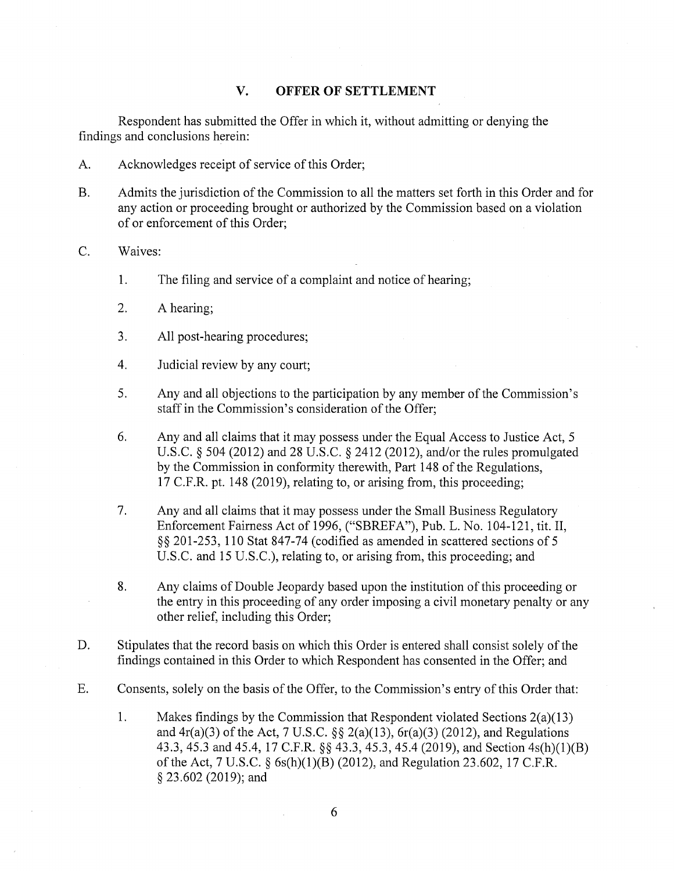# **V. OFFER OF SETTLEMENT**

Respondent has submitted the Offer in which it, without admitting or denying the findings and conclusions herein:

- A. Acknowledges receipt of service of this Order;
- B. Admits the jurisdiction of the Commission to all the matters set forth in this Order and for any action or proceeding brought or authorized by the Commission based on a violation of or enforcement of this Order;
- C. Waives:
	- 1. The filing and service of a complaint and notice of hearing;
	- 2. A hearing;
	- 3. All post-hearing procedures;
	- 4. Judicial review by any court;
	- 5. Any and all objections to the participation by any member of the Commission's staff in the Commission's consideration of the Offer;
	- 6. Any and all claims that it may possess under the Equal Access to Justice Act, 5 U.S.C. § 504 (2012) and 28 U.S.C. § 2412 (2012), and/or the rules promulgated by the Commission in conformity therewith, Part 148 of the Regulations, 17 C.F.R. pt. 148 (2019), relating to, or arising from, this proceeding;
	- 7. Any and all claims that it may possess under the Small Business Regulatory Enforcement Fairness Act of 1996, ("SBREFA"), Pub. L. No. 104-121, tit. II, §§ 201-253, 110 Stat 847-74 (codified as amended in scattered sections of 5 U.S.C. and 15 U.S.C.), relating to, or arising from, this proceeding; and
	- 8. Any claims of Double Jeopardy based upon the institution of this proceeding or the entry in this proceeding of any order imposing a civil monetary penalty or any other relief, including this Order;
- D. Stipulates that the record basis on which this Order is entered shall consist solely of the findings contained in this Order to which Respondent has consented in the Offer; and
- E. Consents, solely on the basis of the Offer, to the Commission's entry of this Order that:
	- 1. Makes findings by the Commission that Respondent violated Sections 2(a)(13) and  $4r(a)(3)$  of the Act, 7 U.S.C. §§ 2(a)(13),  $6r(a)(3)$  (2012), and Regulations 43.3, 45.3 and 45.4, 17 C.F.R. §§ 43.3, 45.3, 45.4 (2019), and Section 4s(h)(l)(B) of the Act, 7 U.S.C. § 6s(h)(l)(B) (2012), and Regulation 23.602, 17 C.F.R. § 23.602 (2019); and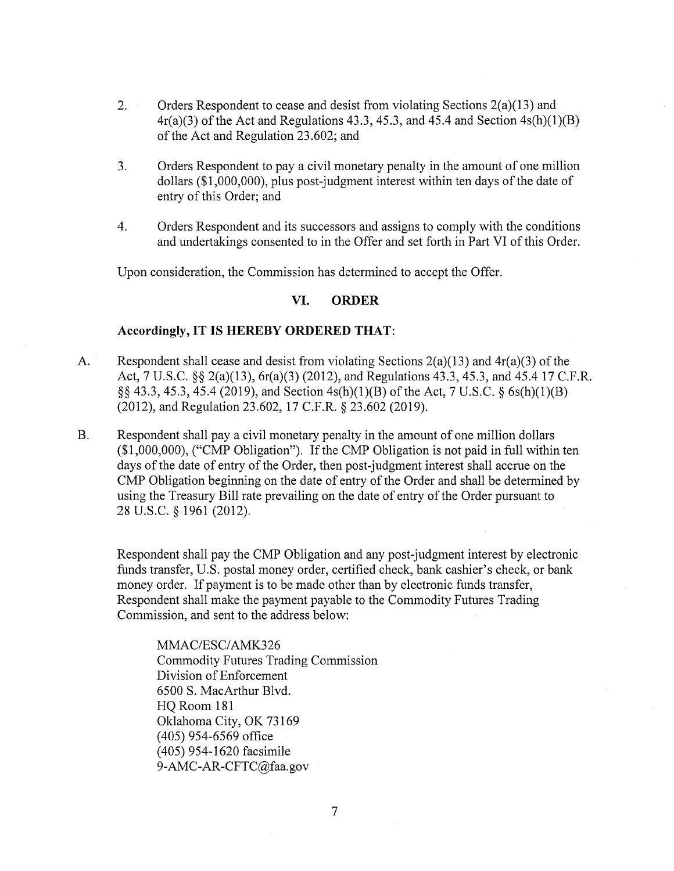- 2. Orders Respondent to cease and desist from violating Sections 2(a)(13) and  $4r(a)(3)$  of the Act and Regulations 43.3, 45.3, and 45.4 and Section  $4s(h)(1)(B)$ of the Act and Regulation 23.602; and
- 3. Orders Respondent to pay a civil monetary penalty in the amount of one million dollars (\$1,000,000), plus post-judgment interest within ten days of the date of entry of this Order; and
- 4. Orders Respondent and its successors and assigns to comply with the conditions and undertakings consented to in the Offer and set forth in Part VI of this Order.

Upon consideration, the Commission has determined to accept the Offer.

## **VI. ORDER**

## **Accordingly, IT IS HEREBY ORDERED THAT:**

- A. Respondent shall cease and desist from violating Sections  $2(a)(13)$  and  $4r(a)(3)$  of the Act, 7 U.S.C. §§ 2(a)(13), 6r(a)(3) (2012), and Regulations 43.3, 45.3, and 45.4 17 C.F.R. §§ 43.3, 45.3, 45.4 (2019), and Section 4s(h)(l)(B) of the Act, 7 U.S.C. § 6s(h)(l)(B) (2012), and Regulation 23.602, 17 C.F.R. § 23.602 (2019).
- B. Respondent shall pay a civil monetary penalty in the amount of one million dollars (\$1,000,000), ("CMP Obligation"). If the CMP Obligation is not paid in full within ten days of the date of entry of the Order, then post-judgment interest shall accrue on the CMP Obligation beginning on the date of entry of the Order and shall be determined by using the Treasury Bill rate prevailing on the date of entry of the Order pursuant to 28 u.s.c. § 1961 (2012).

Respondent shall pay the CMP Obligation and any post-judgment interest by electronic funds transfer, U.S. postal money order, certified check, bank cashier's check, or bank money order. If payment is to be made other than by electronic funds transfer, Respondent shall make the payment payable to the Commodity Futures Trading Commission, and sent to the address below:

MMAC/ESC/AMK326 Commodity Futures Trading Commission Division of Enforcement 6500 S. MacArthur Blvd. HQ Room 181 Oklahoma City, OK 73169 ( 405) 954-6569 office (405) 954-1620 facsimile 9-AMC-AR-CFTC@faa.gov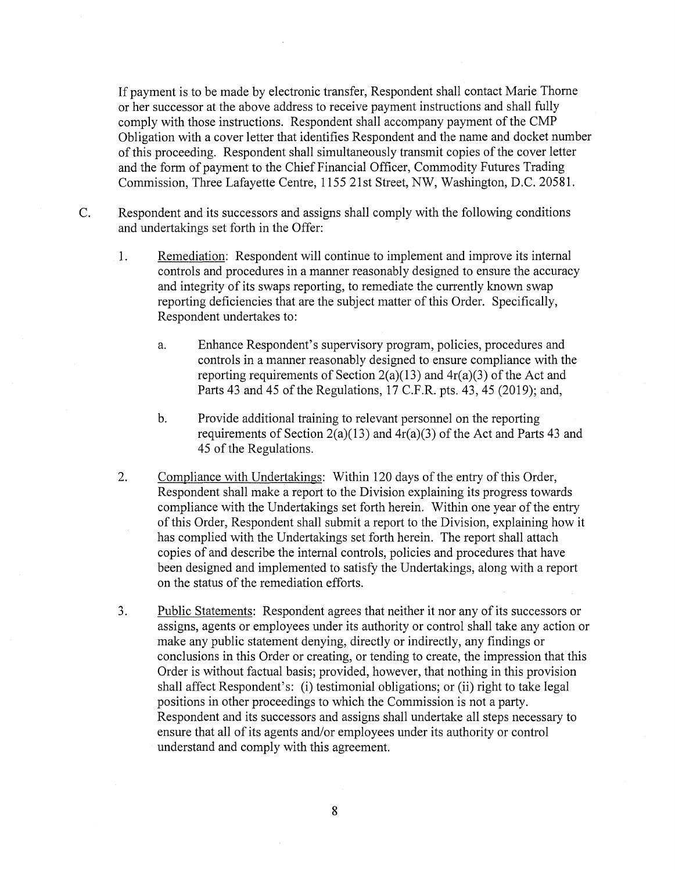If payment is to be made by electronic transfer, Respondent shall contact Marie Thome or her successor at the above address to receive payment instructions and shall fully comply with those instructions. Respondent shall accompany payment of the CMP Obligation with a cover letter that identifies Respondent and the name and docket number of this proceeding. Respondent shall simultaneously transmit copies of the cover letter and the form of payment to the Chief Financial Officer, Commodity Futures Trading Commission, Three Lafayette Centre, 1155 21st Street, NW, Washington, D.C. 20581.

- C. Respondent and its successors and assigns shall comply with the following conditions and undertakings set forth in the Offer:
	- 1. Remediation: Respondent will continue to implement and improve its internal controls and procedures in a manner reasonably designed to ensure the accuracy and integrity of its swaps reporting, to remediate the currently known swap reporting deficiencies that are the subject matter of this Order. Specifically, Respondent undertakes to:
		- a. Enhance Respondent's supervisory program, policies, procedures and controls in a manner reasonably designed to ensure compliance with the reporting requirements of Section 2(a)(13) and  $4r(a)(3)$  of the Act and Parts 43 and 45 of the Regulations, 17 C.F.R. pts. 43, 45 (2019); and,
		- b. Provide additional training to relevant personnel on the reporting requirements of Section 2(a)(13) and  $4r(a)(3)$  of the Act and Parts 43 and 45 of the Regulations.
	- 2. Compliance with Undertakings: Within 120 days of the entry of this Order, Respondent shall make a report to the Division explaining its progress towards compliance with the Undertakings set forth herein. Within one year of the entry of this Order, Respondent shall submit a report to the Division, explaining how it has complied with the Undertakings set forth herein. The report shall attach copies of and describe the internal controls, policies and procedures that have been designed and implemented to satisfy the Undertakings, along with a report on the status of the remediation efforts.
	- 3. Public Statements: Respondent agrees that neither it nor any of its successors or assigns, agents or employees under its authority or control shall take any action or make any public statement denying, directly or indirectly, any findings or conclusions in this Order or creating, or tending to create, the impression that this Order is without factual basis; provided, however, that nothing in this provision shall affect Respondent's: (i) testimonial obligations; or (ii) right to take legal positions in other proceedings to which the Commission is not a party. Respondent and its successors and assigns shall undertake all steps necessary to ensure that all of its agents and/or employees under its authority or control understand and comply with this agreement.